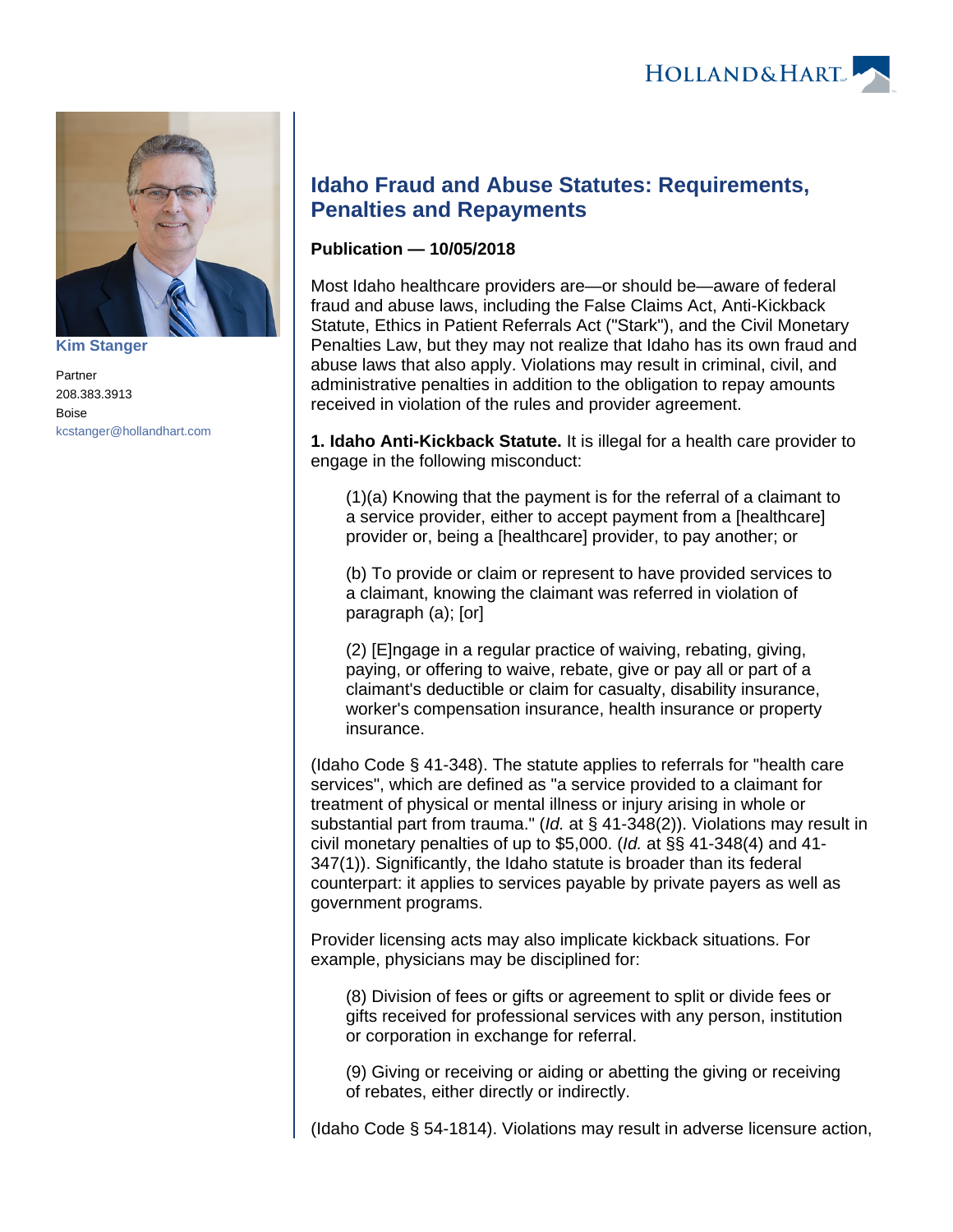

**[Kim Stanger](https://www.hollandhart.com/15954)**

Partner 208.383.3913 Boise [kcstanger@hollandhart.com](mailto:kcstanger@hollandhart.com)

## **Idaho Fraud and Abuse Statutes: Requirements, Penalties and Repayments**

## **Publication — 10/05/2018**

Most Idaho healthcare providers are—or should be—aware of federal fraud and abuse laws, including the False Claims Act, Anti-Kickback Statute, Ethics in Patient Referrals Act ("Stark"), and the Civil Monetary Penalties Law, but they may not realize that Idaho has its own fraud and abuse laws that also apply. Violations may result in criminal, civil, and administrative penalties in addition to the obligation to repay amounts received in violation of the rules and provider agreement.

**1. Idaho Anti-Kickback Statute.** It is illegal for a health care provider to engage in the following misconduct:

(1)(a) Knowing that the payment is for the referral of a claimant to a service provider, either to accept payment from a [healthcare] provider or, being a [healthcare] provider, to pay another; or

(b) To provide or claim or represent to have provided services to a claimant, knowing the claimant was referred in violation of paragraph (a); [or]

(2) [E]ngage in a regular practice of waiving, rebating, giving, paying, or offering to waive, rebate, give or pay all or part of a claimant's deductible or claim for casualty, disability insurance, worker's compensation insurance, health insurance or property insurance.

(Idaho Code § 41-348). The statute applies to referrals for "health care services", which are defined as "a service provided to a claimant for treatment of physical or mental illness or injury arising in whole or substantial part from trauma." (Id. at § 41-348(2)). Violations may result in civil monetary penalties of up to \$5,000. (Id. at §§ 41-348(4) and 41- 347(1)). Significantly, the Idaho statute is broader than its federal counterpart: it applies to services payable by private payers as well as government programs.

Provider licensing acts may also implicate kickback situations. For example, physicians may be disciplined for:

(8) Division of fees or gifts or agreement to split or divide fees or gifts received for professional services with any person, institution or corporation in exchange for referral.

(9) Giving or receiving or aiding or abetting the giving or receiving of rebates, either directly or indirectly.

(Idaho Code § 54-1814). Violations may result in adverse licensure action,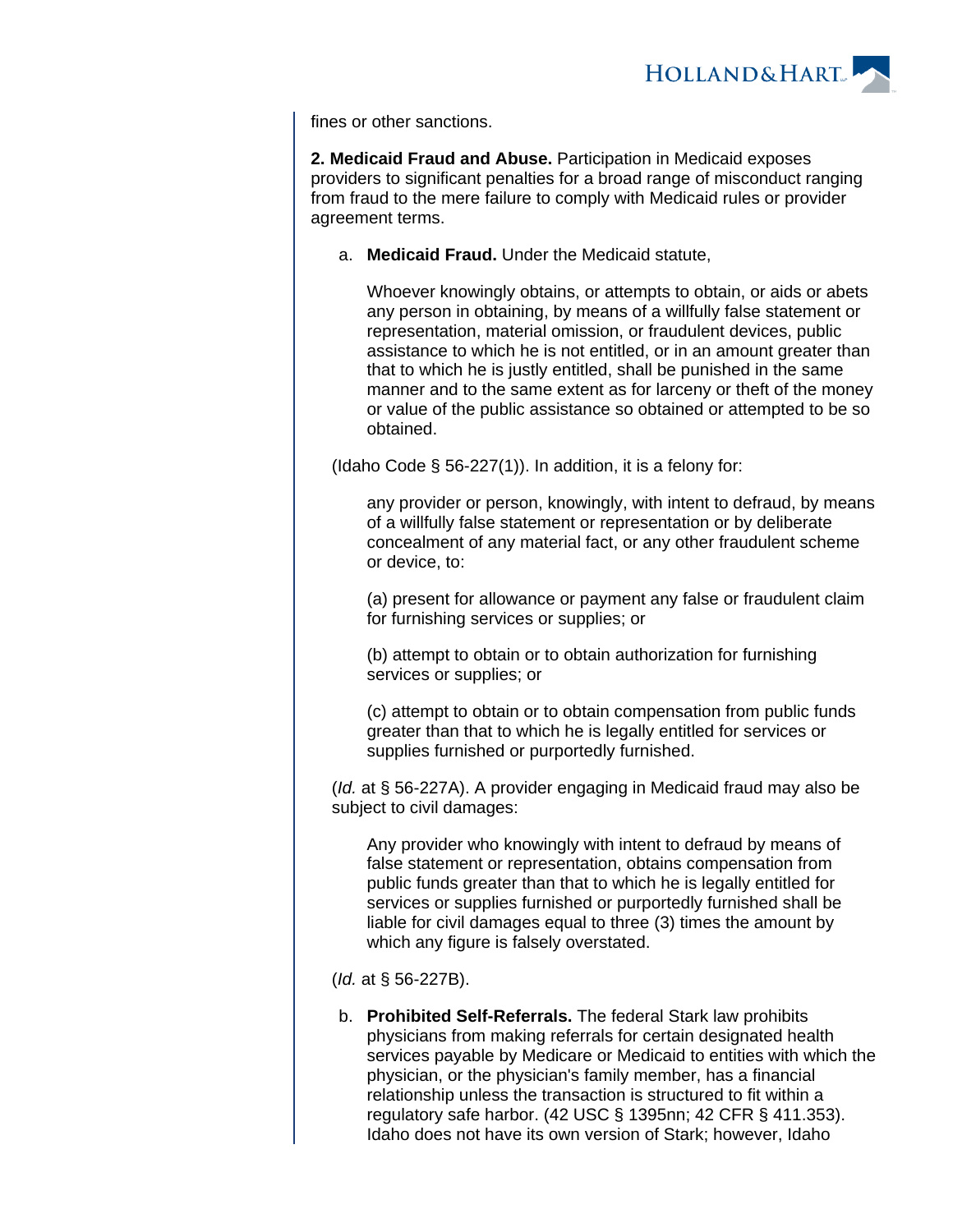

fines or other sanctions.

**2. Medicaid Fraud and Abuse.** Participation in Medicaid exposes providers to significant penalties for a broad range of misconduct ranging from fraud to the mere failure to comply with Medicaid rules or provider agreement terms.

a. **Medicaid Fraud.** Under the Medicaid statute,

Whoever knowingly obtains, or attempts to obtain, or aids or abets any person in obtaining, by means of a willfully false statement or representation, material omission, or fraudulent devices, public assistance to which he is not entitled, or in an amount greater than that to which he is justly entitled, shall be punished in the same manner and to the same extent as for larceny or theft of the money or value of the public assistance so obtained or attempted to be so obtained.

(Idaho Code  $\S$  56-227(1)). In addition, it is a felony for:

any provider or person, knowingly, with intent to defraud, by means of a willfully false statement or representation or by deliberate concealment of any material fact, or any other fraudulent scheme or device, to:

(a) present for allowance or payment any false or fraudulent claim for furnishing services or supplies; or

(b) attempt to obtain or to obtain authorization for furnishing services or supplies; or

(c) attempt to obtain or to obtain compensation from public funds greater than that to which he is legally entitled for services or supplies furnished or purportedly furnished.

(Id. at § 56-227A). A provider engaging in Medicaid fraud may also be subject to civil damages:

Any provider who knowingly with intent to defraud by means of false statement or representation, obtains compensation from public funds greater than that to which he is legally entitled for services or supplies furnished or purportedly furnished shall be liable for civil damages equal to three (3) times the amount by which any figure is falsely overstated.

(Id. at § 56-227B).

b. **Prohibited Self-Referrals.** The federal Stark law prohibits physicians from making referrals for certain designated health services payable by Medicare or Medicaid to entities with which the physician, or the physician's family member, has a financial relationship unless the transaction is structured to fit within a regulatory safe harbor. (42 USC § 1395nn; 42 CFR § 411.353). Idaho does not have its own version of Stark; however, Idaho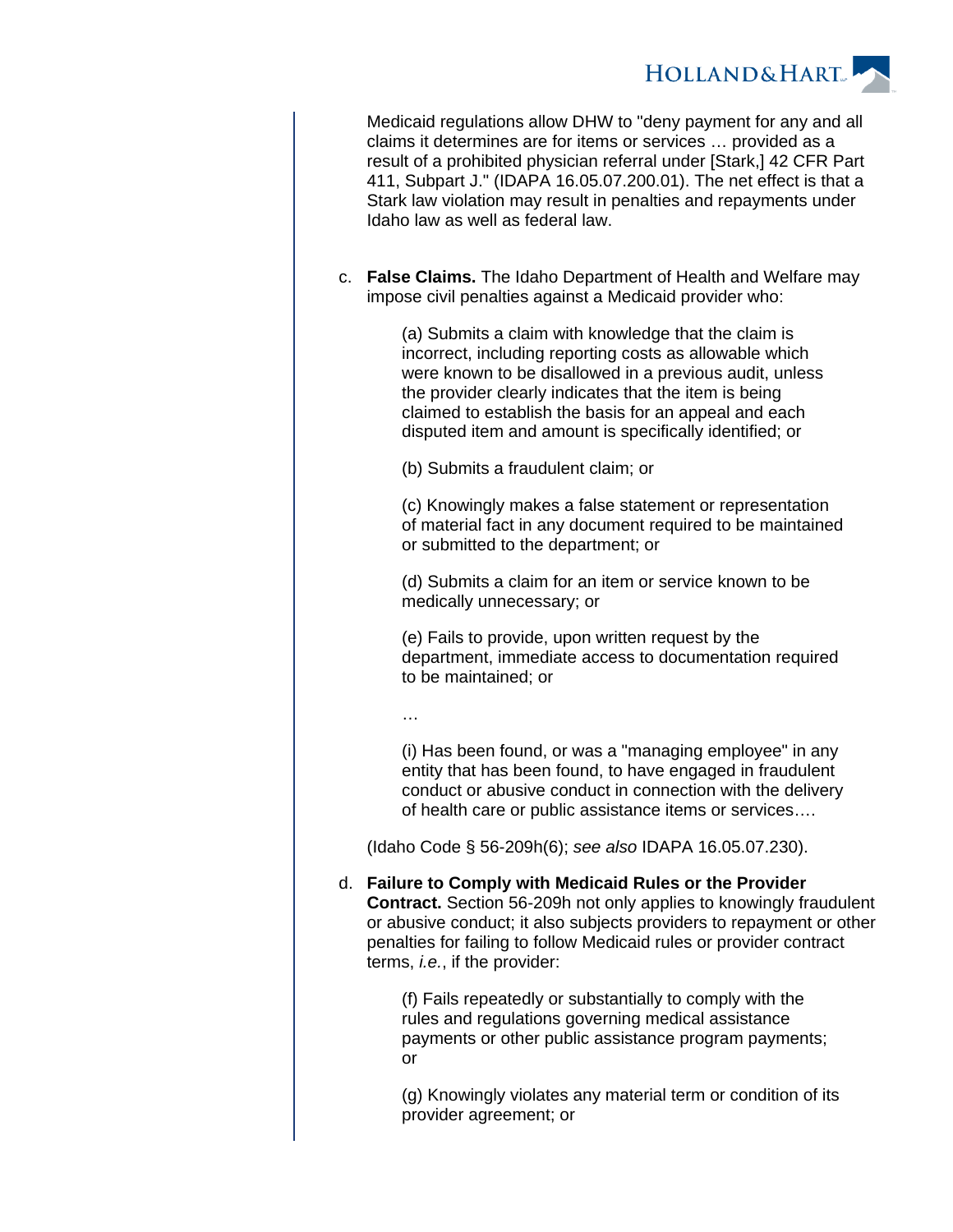

Medicaid regulations allow DHW to "deny payment for any and all claims it determines are for items or services … provided as a result of a prohibited physician referral under [Stark,] 42 CFR Part 411, Subpart J." (IDAPA 16.05.07.200.01). The net effect is that a Stark law violation may result in penalties and repayments under Idaho law as well as federal law.

c. **False Claims.** The Idaho Department of Health and Welfare may impose civil penalties against a Medicaid provider who:

> (a) Submits a claim with knowledge that the claim is incorrect, including reporting costs as allowable which were known to be disallowed in a previous audit, unless the provider clearly indicates that the item is being claimed to establish the basis for an appeal and each disputed item and amount is specifically identified; or

(b) Submits a fraudulent claim; or

(c) Knowingly makes a false statement or representation of material fact in any document required to be maintained or submitted to the department; or

(d) Submits a claim for an item or service known to be medically unnecessary; or

(e) Fails to provide, upon written request by the department, immediate access to documentation required to be maintained; or

…

(i) Has been found, or was a "managing employee" in any entity that has been found, to have engaged in fraudulent conduct or abusive conduct in connection with the delivery of health care or public assistance items or services….

(Idaho Code § 56-209h(6); see also IDAPA 16.05.07.230).

d. **Failure to Comply with Medicaid Rules or the Provider Contract.** Section 56-209h not only applies to knowingly fraudulent or abusive conduct; it also subjects providers to repayment or other penalties for failing to follow Medicaid rules or provider contract terms, i.e., if the provider:

> (f) Fails repeatedly or substantially to comply with the rules and regulations governing medical assistance payments or other public assistance program payments; or

(g) Knowingly violates any material term or condition of its provider agreement; or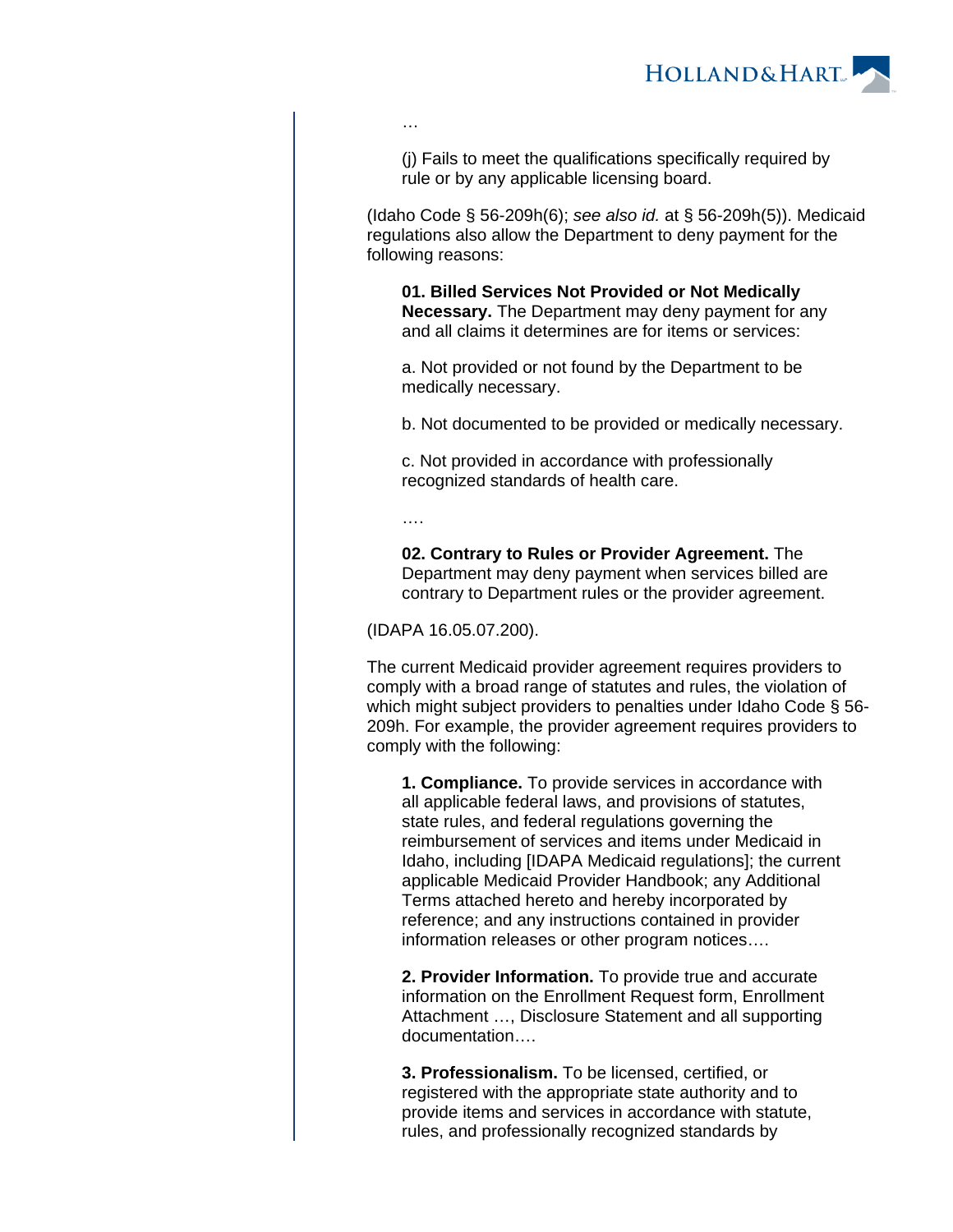

(j) Fails to meet the qualifications specifically required by rule or by any applicable licensing board.

(Idaho Code § 56-209h(6); see also id. at § 56-209h(5)). Medicaid regulations also allow the Department to deny payment for the following reasons:

**01. Billed Services Not Provided or Not Medically Necessary.** The Department may deny payment for any and all claims it determines are for items or services:

a. Not provided or not found by the Department to be medically necessary.

b. Not documented to be provided or medically necessary.

c. Not provided in accordance with professionally recognized standards of health care.

….

…

**02. Contrary to Rules or Provider Agreement.** The Department may deny payment when services billed are contrary to Department rules or the provider agreement.

(IDAPA 16.05.07.200).

The current Medicaid provider agreement requires providers to comply with a broad range of statutes and rules, the violation of which might subject providers to penalties under Idaho Code § 56- 209h. For example, the provider agreement requires providers to comply with the following:

**1. Compliance.** To provide services in accordance with all applicable federal laws, and provisions of statutes, state rules, and federal regulations governing the reimbursement of services and items under Medicaid in Idaho, including [IDAPA Medicaid regulations]; the current applicable Medicaid Provider Handbook; any Additional Terms attached hereto and hereby incorporated by reference; and any instructions contained in provider information releases or other program notices….

**2. Provider Information.** To provide true and accurate information on the Enrollment Request form, Enrollment Attachment …, Disclosure Statement and all supporting documentation….

**3. Professionalism.** To be licensed, certified, or registered with the appropriate state authority and to provide items and services in accordance with statute, rules, and professionally recognized standards by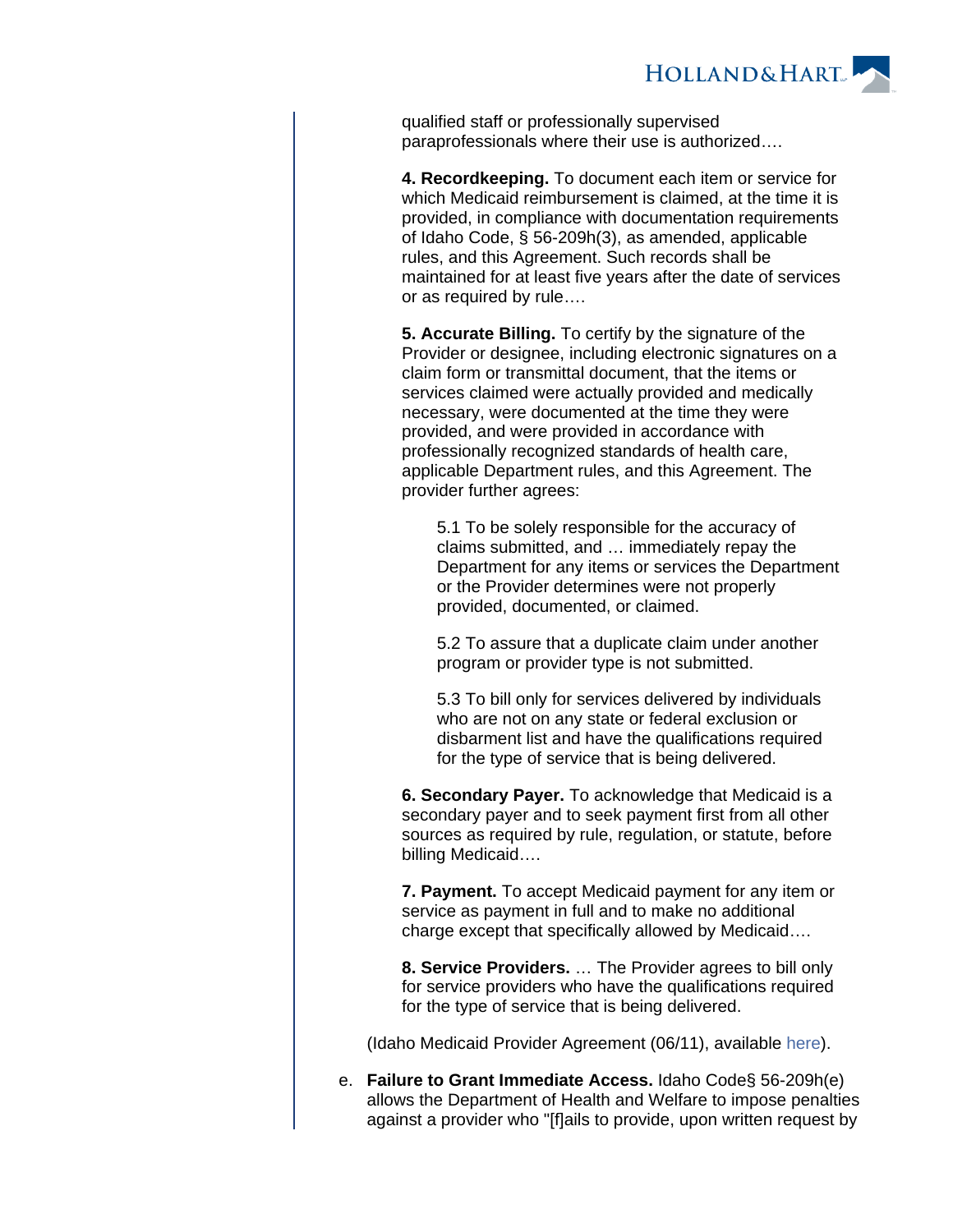

qualified staff or professionally supervised paraprofessionals where their use is authorized….

**4. Recordkeeping.** To document each item or service for which Medicaid reimbursement is claimed, at the time it is provided, in compliance with documentation requirements of Idaho Code, § 56-209h(3), as amended, applicable rules, and this Agreement. Such records shall be maintained for at least five years after the date of services or as required by rule….

**5. Accurate Billing.** To certify by the signature of the Provider or designee, including electronic signatures on a claim form or transmittal document, that the items or services claimed were actually provided and medically necessary, were documented at the time they were provided, and were provided in accordance with professionally recognized standards of health care, applicable Department rules, and this Agreement. The provider further agrees:

5.1 To be solely responsible for the accuracy of claims submitted, and … immediately repay the Department for any items or services the Department or the Provider determines were not properly provided, documented, or claimed.

5.2 To assure that a duplicate claim under another program or provider type is not submitted.

5.3 To bill only for services delivered by individuals who are not on any state or federal exclusion or disbarment list and have the qualifications required for the type of service that is being delivered.

**6. Secondary Payer.** To acknowledge that Medicaid is a secondary payer and to seek payment first from all other sources as required by rule, regulation, or statute, before billing Medicaid….

**7. Payment.** To accept Medicaid payment for any item or service as payment in full and to make no additional charge except that specifically allowed by Medicaid….

**8. Service Providers.** … The Provider agrees to bill only for service providers who have the qualifications required for the type of service that is being delivered.

(Idaho Medicaid Provider Agreement (06/11), available [here](https://www.idmedicaid.com/Provider%2520Enrollment%2520Paper%2520Maintenance%2520Forms/Idaho%2520Medicaid%2520Provider%2520Agreement.pdf)).

e. **Failure to Grant Immediate Access.** Idaho Code§ 56-209h(e) allows the Department of Health and Welfare to impose penalties against a provider who "[f]ails to provide, upon written request by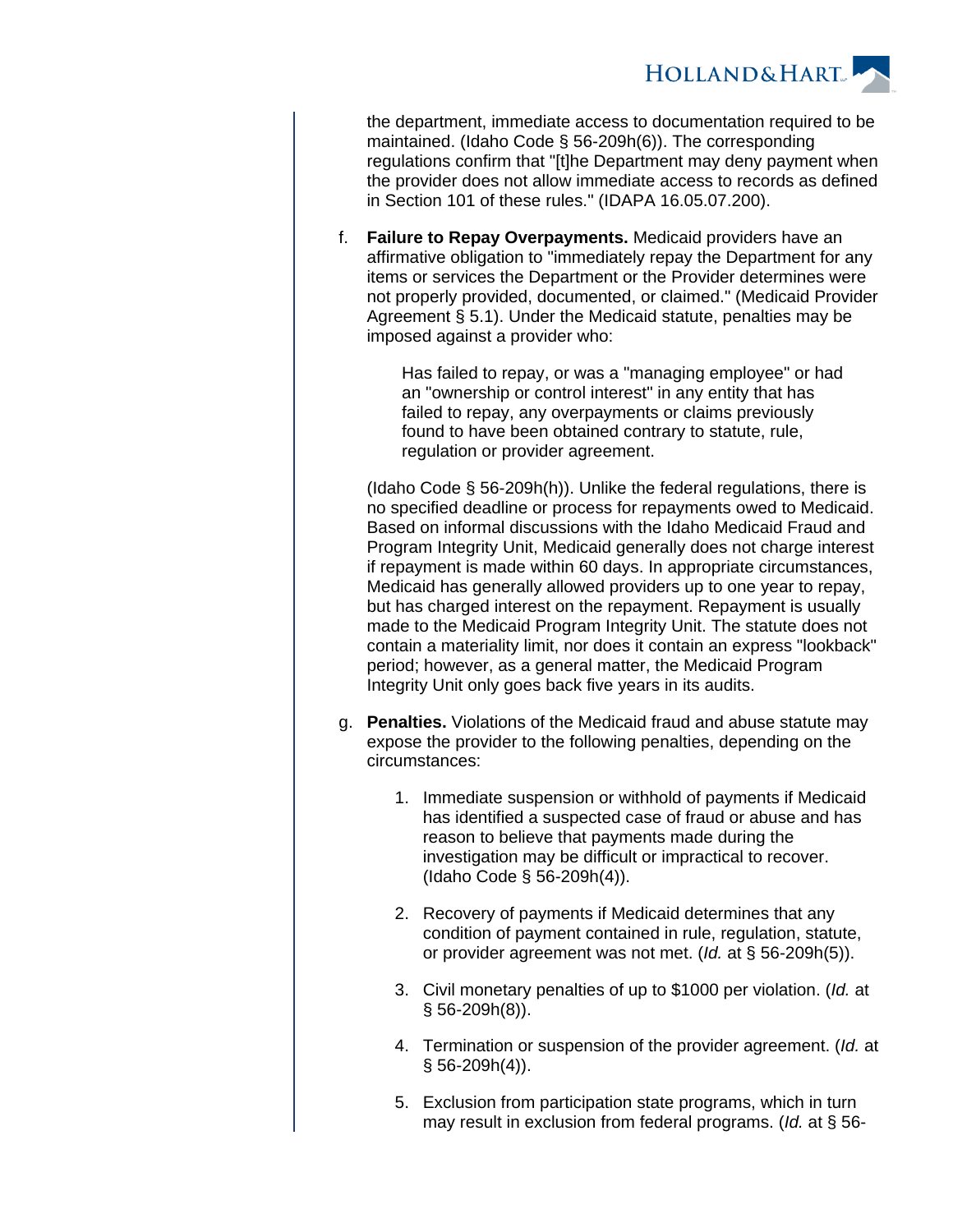

the department, immediate access to documentation required to be maintained. (Idaho Code § 56-209h(6)). The corresponding regulations confirm that "[t]he Department may deny payment when the provider does not allow immediate access to records as defined in Section 101 of these rules." (IDAPA 16.05.07.200).

f. **Failure to Repay Overpayments.** Medicaid providers have an affirmative obligation to "immediately repay the Department for any items or services the Department or the Provider determines were not properly provided, documented, or claimed." (Medicaid Provider Agreement § 5.1). Under the Medicaid statute, penalties may be imposed against a provider who:

> Has failed to repay, or was a "managing employee" or had an "ownership or control interest" in any entity that has failed to repay, any overpayments or claims previously found to have been obtained contrary to statute, rule, regulation or provider agreement.

(Idaho Code § 56-209h(h)). Unlike the federal regulations, there is no specified deadline or process for repayments owed to Medicaid. Based on informal discussions with the Idaho Medicaid Fraud and Program Integrity Unit, Medicaid generally does not charge interest if repayment is made within 60 days. In appropriate circumstances, Medicaid has generally allowed providers up to one year to repay, but has charged interest on the repayment. Repayment is usually made to the Medicaid Program Integrity Unit. The statute does not contain a materiality limit, nor does it contain an express "lookback" period; however, as a general matter, the Medicaid Program Integrity Unit only goes back five years in its audits.

- g. **Penalties.** Violations of the Medicaid fraud and abuse statute may expose the provider to the following penalties, depending on the circumstances:
	- 1. Immediate suspension or withhold of payments if Medicaid has identified a suspected case of fraud or abuse and has reason to believe that payments made during the investigation may be difficult or impractical to recover. (Idaho Code § 56-209h(4)).
	- 2. Recovery of payments if Medicaid determines that any condition of payment contained in rule, regulation, statute, or provider agreement was not met. (Id. at § 56-209h(5)).
	- 3. Civil monetary penalties of up to \$1000 per violation. (Id. at § 56-209h(8)).
	- 4. Termination or suspension of the provider agreement. (Id. at  $§ 56 - 209h(4)$ .
	- 5. Exclusion from participation state programs, which in turn may result in exclusion from federal programs. (Id. at § 56-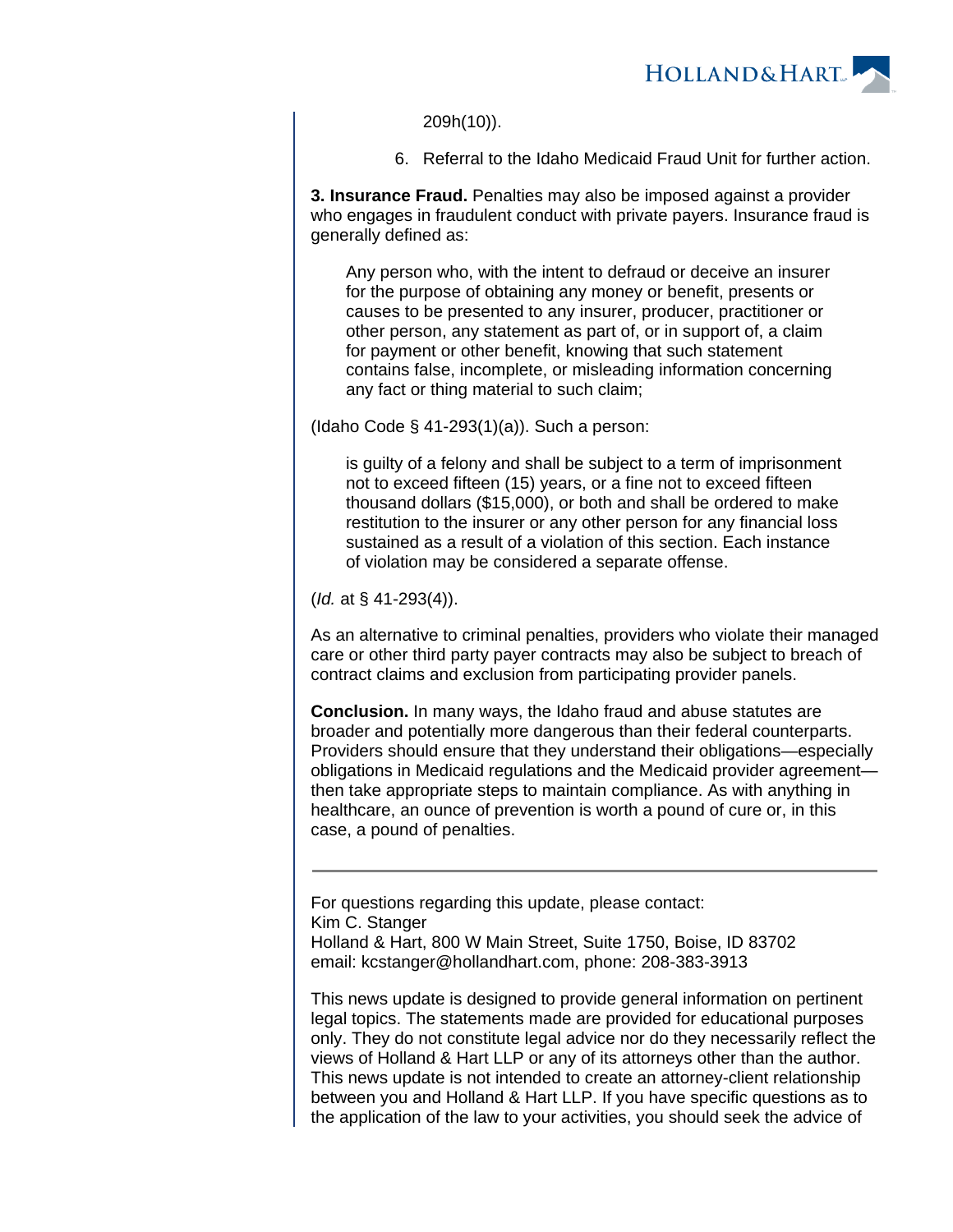

209h(10)).

6. Referral to the Idaho Medicaid Fraud Unit for further action.

**3. Insurance Fraud.** Penalties may also be imposed against a provider who engages in fraudulent conduct with private payers. Insurance fraud is generally defined as:

Any person who, with the intent to defraud or deceive an insurer for the purpose of obtaining any money or benefit, presents or causes to be presented to any insurer, producer, practitioner or other person, any statement as part of, or in support of, a claim for payment or other benefit, knowing that such statement contains false, incomplete, or misleading information concerning any fact or thing material to such claim;

(Idaho Code § 41-293(1)(a)). Such a person:

is guilty of a felony and shall be subject to a term of imprisonment not to exceed fifteen (15) years, or a fine not to exceed fifteen thousand dollars (\$15,000), or both and shall be ordered to make restitution to the insurer or any other person for any financial loss sustained as a result of a violation of this section. Each instance of violation may be considered a separate offense.

(Id. at § 41-293(4)).

As an alternative to criminal penalties, providers who violate their managed care or other third party payer contracts may also be subject to breach of contract claims and exclusion from participating provider panels.

**Conclusion.** In many ways, the Idaho fraud and abuse statutes are broader and potentially more dangerous than their federal counterparts. Providers should ensure that they understand their obligations—especially obligations in Medicaid regulations and the Medicaid provider agreement then take appropriate steps to maintain compliance. As with anything in healthcare, an ounce of prevention is worth a pound of cure or, in this case, a pound of penalties.

For questions regarding this update, please contact: Kim C. Stanger Holland & Hart, 800 W Main Street, Suite 1750, Boise, ID 83702 email: kcstanger@hollandhart.com, phone: 208-383-3913

This news update is designed to provide general information on pertinent legal topics. The statements made are provided for educational purposes only. They do not constitute legal advice nor do they necessarily reflect the views of Holland & Hart LLP or any of its attorneys other than the author. This news update is not intended to create an attorney-client relationship between you and Holland & Hart LLP. If you have specific questions as to the application of the law to your activities, you should seek the advice of